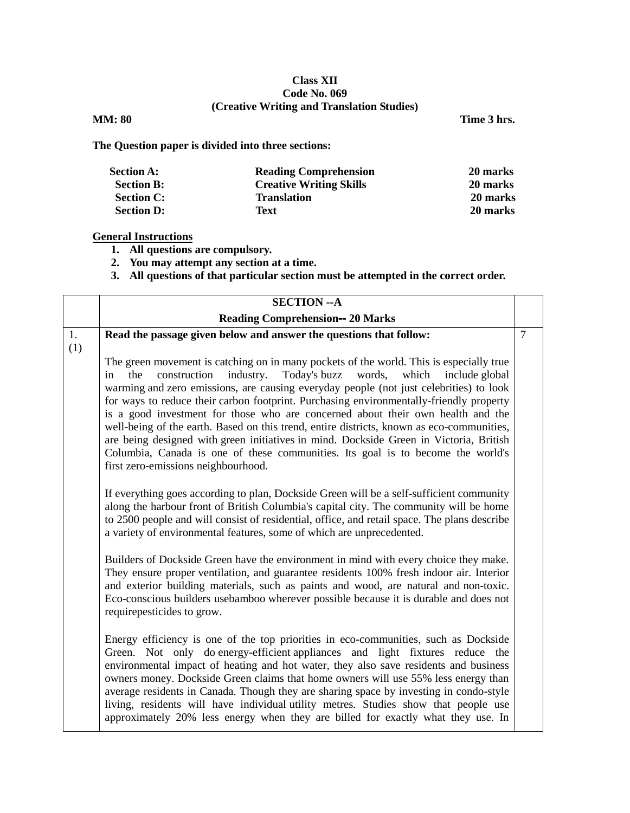## **Class XII Code No. 069 (Creative Writing and Translation Studies)**

**MM:** 80 Time 3 hrs.

**The Question paper is divided into three sections:**

| <b>Section A:</b> | <b>Reading Comprehension</b>   | 20 marks |
|-------------------|--------------------------------|----------|
| <b>Section B:</b> | <b>Creative Writing Skills</b> | 20 marks |
| <b>Section C:</b> | <b>Translation</b>             | 20 marks |
| <b>Section D:</b> | Text                           | 20 marks |

## **General Instructions**

- **1. All questions are compulsory.**
- **2. You may attempt any section at a time.**
- **3. All questions of that particular section must be attempted in the correct order.**

|           | <b>SECTION -- A</b>                                                                                                                                                                                                                                                                                                                                                                                                                                                                                                                                                                                                                                                                                                                                                                                                                                                      |                |
|-----------|--------------------------------------------------------------------------------------------------------------------------------------------------------------------------------------------------------------------------------------------------------------------------------------------------------------------------------------------------------------------------------------------------------------------------------------------------------------------------------------------------------------------------------------------------------------------------------------------------------------------------------------------------------------------------------------------------------------------------------------------------------------------------------------------------------------------------------------------------------------------------|----------------|
|           | <b>Reading Comprehension-- 20 Marks</b>                                                                                                                                                                                                                                                                                                                                                                                                                                                                                                                                                                                                                                                                                                                                                                                                                                  |                |
| 1.<br>(1) | Read the passage given below and answer the questions that follow:                                                                                                                                                                                                                                                                                                                                                                                                                                                                                                                                                                                                                                                                                                                                                                                                       | $\overline{7}$ |
|           | The green movement is catching on in many pockets of the world. This is especially true<br>Today's buzz words,<br>construction<br>industry.<br>which<br>include global<br>the<br>in<br>warming and zero emissions, are causing everyday people (not just celebrities) to look<br>for ways to reduce their carbon footprint. Purchasing environmentally-friendly property<br>is a good investment for those who are concerned about their own health and the<br>well-being of the earth. Based on this trend, entire districts, known as eco-communities,<br>are being designed with green initiatives in mind. Dockside Green in Victoria, British<br>Columbia, Canada is one of these communities. Its goal is to become the world's<br>first zero-emissions neighbourhood.<br>If everything goes according to plan, Dockside Green will be a self-sufficient community |                |
|           | along the harbour front of British Columbia's capital city. The community will be home<br>to 2500 people and will consist of residential, office, and retail space. The plans describe<br>a variety of environmental features, some of which are unprecedented.                                                                                                                                                                                                                                                                                                                                                                                                                                                                                                                                                                                                          |                |
|           | Builders of Dockside Green have the environment in mind with every choice they make.<br>They ensure proper ventilation, and guarantee residents 100% fresh indoor air. Interior<br>and exterior building materials, such as paints and wood, are natural and non-toxic.<br>Eco-conscious builders usebamboo wherever possible because it is durable and does not<br>requirepesticides to grow.                                                                                                                                                                                                                                                                                                                                                                                                                                                                           |                |
|           | Energy efficiency is one of the top priorities in eco-communities, such as Dockside<br>Green. Not only do energy-efficient appliances and light fixtures reduce the<br>environmental impact of heating and hot water, they also save residents and business<br>owners money. Dockside Green claims that home owners will use 55% less energy than<br>average residents in Canada. Though they are sharing space by investing in condo-style<br>living, residents will have individual utility metres. Studies show that people use<br>approximately 20% less energy when they are billed for exactly what they use. In                                                                                                                                                                                                                                                   |                |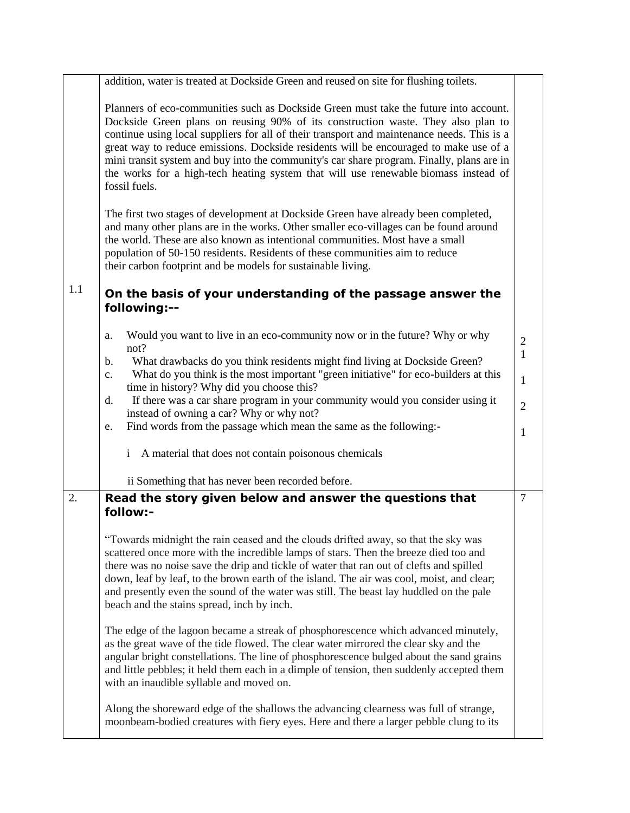|     | addition, water is treated at Dockside Green and reused on site for flushing toilets.                                                                                                                                                                                                                                                                                                                                                                                                                                                                                 |                                |
|-----|-----------------------------------------------------------------------------------------------------------------------------------------------------------------------------------------------------------------------------------------------------------------------------------------------------------------------------------------------------------------------------------------------------------------------------------------------------------------------------------------------------------------------------------------------------------------------|--------------------------------|
|     | Planners of eco-communities such as Dockside Green must take the future into account.<br>Dockside Green plans on reusing 90% of its construction waste. They also plan to<br>continue using local suppliers for all of their transport and maintenance needs. This is a<br>great way to reduce emissions. Dockside residents will be encouraged to make use of a<br>mini transit system and buy into the community's car share program. Finally, plans are in<br>the works for a high-tech heating system that will use renewable biomass instead of<br>fossil fuels. |                                |
|     | The first two stages of development at Dockside Green have already been completed,<br>and many other plans are in the works. Other smaller eco-villages can be found around<br>the world. These are also known as intentional communities. Most have a small<br>population of 50-150 residents. Residents of these communities aim to reduce<br>their carbon footprint and be models for sustainable living.                                                                                                                                                          |                                |
| 1.1 | On the basis of your understanding of the passage answer the<br>following:--                                                                                                                                                                                                                                                                                                                                                                                                                                                                                          |                                |
|     | Would you want to live in an eco-community now or in the future? Why or why<br>a.<br>not?                                                                                                                                                                                                                                                                                                                                                                                                                                                                             | $\overline{2}$<br>$\mathbf{1}$ |
|     | What drawbacks do you think residents might find living at Dockside Green?<br>b.<br>What do you think is the most important "green initiative" for eco-builders at this<br>C <sub>1</sub>                                                                                                                                                                                                                                                                                                                                                                             | $\mathbf{1}$                   |
|     | time in history? Why did you choose this?<br>If there was a car share program in your community would you consider using it<br>d.<br>instead of owning a car? Why or why not?                                                                                                                                                                                                                                                                                                                                                                                         | $\overline{2}$                 |
|     | Find words from the passage which mean the same as the following:-<br>e.                                                                                                                                                                                                                                                                                                                                                                                                                                                                                              | 1                              |
|     | A material that does not contain poisonous chemicals<br>$\mathbf{i}$                                                                                                                                                                                                                                                                                                                                                                                                                                                                                                  |                                |
|     | ii Something that has never been recorded before.                                                                                                                                                                                                                                                                                                                                                                                                                                                                                                                     |                                |
| 2.  | Read the story given below and answer the questions that<br>follow:-                                                                                                                                                                                                                                                                                                                                                                                                                                                                                                  | $\overline{7}$                 |
|     | "Towards midnight the rain ceased and the clouds drifted away, so that the sky was<br>scattered once more with the incredible lamps of stars. Then the breeze died too and<br>there was no noise save the drip and tickle of water that ran out of clefts and spilled<br>down, leaf by leaf, to the brown earth of the island. The air was cool, moist, and clear;<br>and presently even the sound of the water was still. The beast lay huddled on the pale<br>beach and the stains spread, inch by inch.                                                            |                                |
|     | The edge of the lagoon became a streak of phosphorescence which advanced minutely,<br>as the great wave of the tide flowed. The clear water mirrored the clear sky and the<br>angular bright constellations. The line of phosphorescence bulged about the sand grains<br>and little pebbles; it held them each in a dimple of tension, then suddenly accepted them<br>with an inaudible syllable and moved on.                                                                                                                                                        |                                |
|     | Along the shoreward edge of the shallows the advancing clearness was full of strange,<br>moonbeam-bodied creatures with fiery eyes. Here and there a larger pebble clung to its                                                                                                                                                                                                                                                                                                                                                                                       |                                |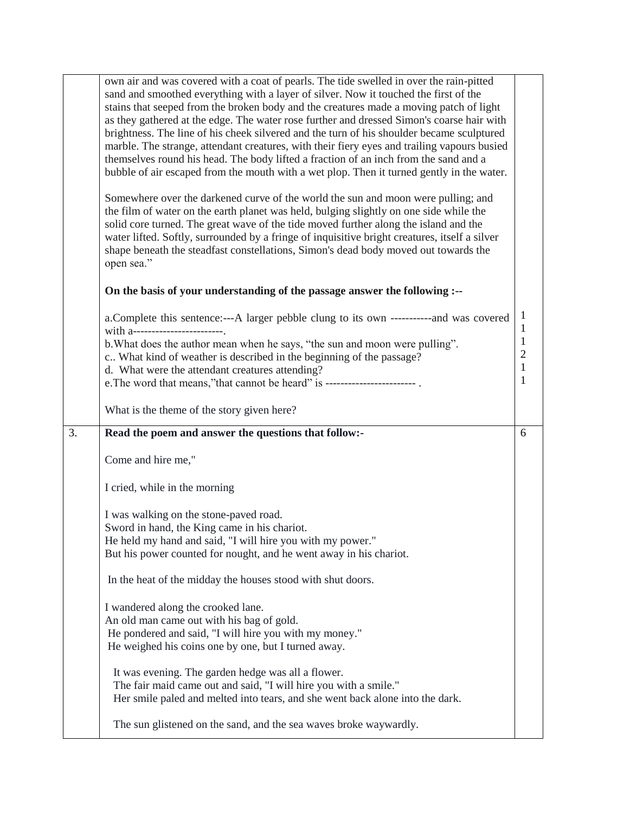|    | own air and was covered with a coat of pearls. The tide swelled in over the rain-pitted<br>sand and smoothed everything with a layer of silver. Now it touched the first of the<br>stains that seeped from the broken body and the creatures made a moving patch of light<br>as they gathered at the edge. The water rose further and dressed Simon's coarse hair with<br>brightness. The line of his cheek silvered and the turn of his shoulder became sculptured<br>marble. The strange, attendant creatures, with their fiery eyes and trailing vapours busied<br>themselves round his head. The body lifted a fraction of an inch from the sand and a<br>bubble of air escaped from the mouth with a wet plop. Then it turned gently in the water. |                                                               |
|----|---------------------------------------------------------------------------------------------------------------------------------------------------------------------------------------------------------------------------------------------------------------------------------------------------------------------------------------------------------------------------------------------------------------------------------------------------------------------------------------------------------------------------------------------------------------------------------------------------------------------------------------------------------------------------------------------------------------------------------------------------------|---------------------------------------------------------------|
|    | Somewhere over the darkened curve of the world the sun and moon were pulling; and<br>the film of water on the earth planet was held, bulging slightly on one side while the<br>solid core turned. The great wave of the tide moved further along the island and the<br>water lifted. Softly, surrounded by a fringe of inquisitive bright creatures, itself a silver<br>shape beneath the steadfast constellations, Simon's dead body moved out towards the<br>open sea."                                                                                                                                                                                                                                                                               |                                                               |
|    | On the basis of your understanding of the passage answer the following :--                                                                                                                                                                                                                                                                                                                                                                                                                                                                                                                                                                                                                                                                              |                                                               |
|    | a. Complete this sentence:---A larger pebble clung to its own -------------and was covered<br>with a-----------------------<br>b. What does the author mean when he says, "the sun and moon were pulling".<br>c What kind of weather is described in the beginning of the passage?<br>d. What were the attendant creatures attending?<br>e. The word that means,"that cannot be heard" is -------------------------                                                                                                                                                                                                                                                                                                                                     | 1<br>1<br>$\mathbf{1}$<br>$\overline{2}$<br>$\mathbf{1}$<br>1 |
|    |                                                                                                                                                                                                                                                                                                                                                                                                                                                                                                                                                                                                                                                                                                                                                         |                                                               |
|    | What is the theme of the story given here?                                                                                                                                                                                                                                                                                                                                                                                                                                                                                                                                                                                                                                                                                                              |                                                               |
| 3. | Read the poem and answer the questions that follow:-                                                                                                                                                                                                                                                                                                                                                                                                                                                                                                                                                                                                                                                                                                    | 6                                                             |
|    | Come and hire me,"                                                                                                                                                                                                                                                                                                                                                                                                                                                                                                                                                                                                                                                                                                                                      |                                                               |
|    | I cried, while in the morning                                                                                                                                                                                                                                                                                                                                                                                                                                                                                                                                                                                                                                                                                                                           |                                                               |
|    | I was walking on the stone-paved road.<br>Sword in hand, the King came in his chariot.<br>He held my hand and said, "I will hire you with my power."<br>But his power counted for nought, and he went away in his chariot.                                                                                                                                                                                                                                                                                                                                                                                                                                                                                                                              |                                                               |
|    | In the heat of the midday the houses stood with shut doors.                                                                                                                                                                                                                                                                                                                                                                                                                                                                                                                                                                                                                                                                                             |                                                               |
|    | I wandered along the crooked lane.<br>An old man came out with his bag of gold.<br>He pondered and said, "I will hire you with my money."<br>He weighed his coins one by one, but I turned away.                                                                                                                                                                                                                                                                                                                                                                                                                                                                                                                                                        |                                                               |
|    | It was evening. The garden hedge was all a flower.<br>The fair maid came out and said, "I will hire you with a smile."<br>Her smile paled and melted into tears, and she went back alone into the dark.                                                                                                                                                                                                                                                                                                                                                                                                                                                                                                                                                 |                                                               |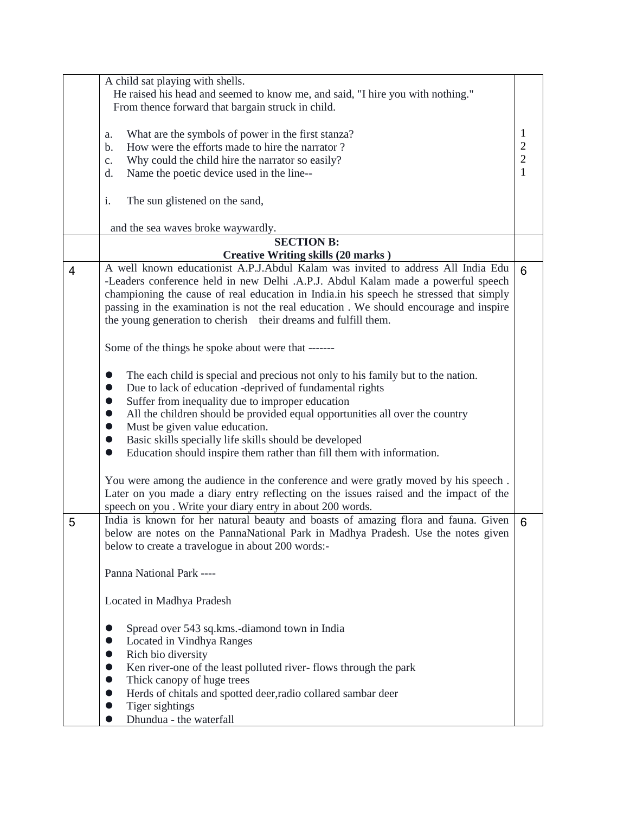|                | A child sat playing with shells.                                                          |                |
|----------------|-------------------------------------------------------------------------------------------|----------------|
|                | He raised his head and seemed to know me, and said, "I hire you with nothing."            |                |
|                | From thence forward that bargain struck in child.                                         |                |
|                |                                                                                           |                |
|                | What are the symbols of power in the first stanza?<br>a.                                  | 1              |
|                | How were the efforts made to hire the narrator?<br>b.                                     | $\overline{c}$ |
|                | Why could the child hire the narrator so easily?<br>$C_{\bullet}$                         | $\overline{c}$ |
|                | Name the poetic device used in the line--<br>d.                                           | 1              |
|                |                                                                                           |                |
|                | The sun glistened on the sand,<br>i.                                                      |                |
|                |                                                                                           |                |
|                | and the sea waves broke waywardly.                                                        |                |
|                | <b>SECTION B:</b>                                                                         |                |
|                | <b>Creative Writing skills (20 marks)</b>                                                 |                |
| $\overline{4}$ | A well known educationist A.P.J.Abdul Kalam was invited to address All India Edu          | 6              |
|                | -Leaders conference held in new Delhi .A.P.J. Abdul Kalam made a powerful speech          |                |
|                | championing the cause of real education in India.in his speech he stressed that simply    |                |
|                | passing in the examination is not the real education . We should encourage and inspire    |                |
|                | the young generation to cherish their dreams and fulfill them.                            |                |
|                |                                                                                           |                |
|                | Some of the things he spoke about were that -------                                       |                |
|                |                                                                                           |                |
|                | The each child is special and precious not only to his family but to the nation.          |                |
|                | Due to lack of education -deprived of fundamental rights<br>$\bullet$                     |                |
|                | Suffer from inequality due to improper education<br>$\bullet$                             |                |
|                | All the children should be provided equal opportunities all over the country<br>$\bullet$ |                |
|                | Must be given value education.<br>$\bullet$                                               |                |
|                | Basic skills specially life skills should be developed                                    |                |
|                | Education should inspire them rather than fill them with information.<br>$\bullet$        |                |
|                |                                                                                           |                |
|                | You were among the audience in the conference and were gratly moved by his speech.        |                |
|                | Later on you made a diary entry reflecting on the issues raised and the impact of the     |                |
|                | speech on you . Write your diary entry in about 200 words.                                |                |
| 5              | India is known for her natural beauty and boasts of amazing flora and fauna. Given        | 6              |
|                | below are notes on the PannaNational Park in Madhya Pradesh. Use the notes given          |                |
|                | below to create a travelogue in about 200 words:-                                         |                |
|                |                                                                                           |                |
|                | Panna National Park ----                                                                  |                |
|                |                                                                                           |                |
|                | Located in Madhya Pradesh                                                                 |                |
|                |                                                                                           |                |
|                | Spread over 543 sq.kms.-diamond town in India                                             |                |
|                | Located in Vindhya Ranges<br>$\bullet$                                                    |                |
|                | Rich bio diversity                                                                        |                |
|                | Ken river-one of the least polluted river-flows through the park<br>$\bullet$             |                |
|                | Thick canopy of huge trees<br>$\bullet$                                                   |                |
|                | Herds of chitals and spotted deer, radio collared sambar deer<br>$\bullet$                |                |
|                | Tiger sightings<br>$\bullet$                                                              |                |
|                | Dhundua - the waterfall<br>$\bullet$                                                      |                |
|                |                                                                                           |                |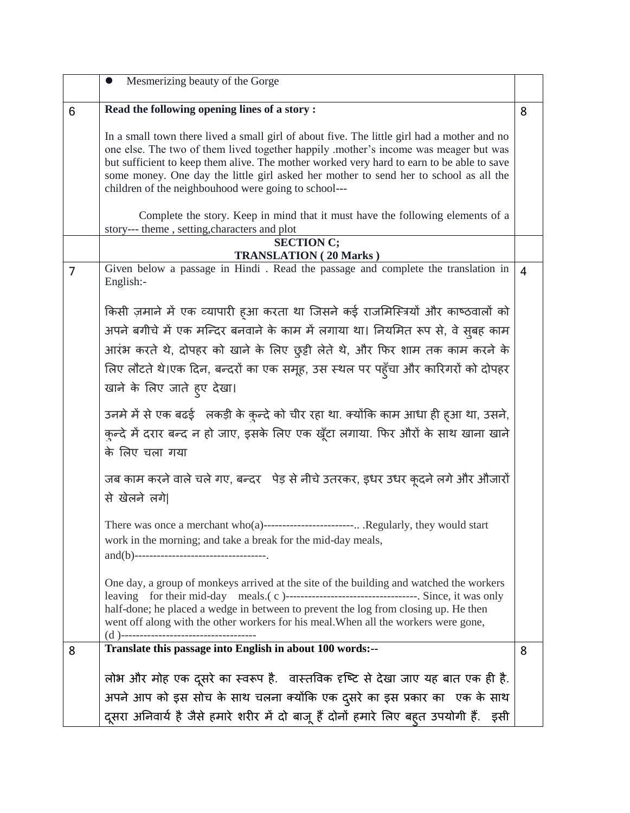|   | Mesmerizing beauty of the Gorge<br>$\bullet$                                                                                                                                                                                                                                                                                                                                                                                      |                |
|---|-----------------------------------------------------------------------------------------------------------------------------------------------------------------------------------------------------------------------------------------------------------------------------------------------------------------------------------------------------------------------------------------------------------------------------------|----------------|
| 6 | Read the following opening lines of a story:                                                                                                                                                                                                                                                                                                                                                                                      | 8              |
|   | In a small town there lived a small girl of about five. The little girl had a mother and no<br>one else. The two of them lived together happily .mother's income was meager but was<br>but sufficient to keep them alive. The mother worked very hard to earn to be able to save<br>some money. One day the little girl asked her mother to send her to school as all the<br>children of the neighbouhood were going to school--- |                |
|   | Complete the story. Keep in mind that it must have the following elements of a<br>story--- theme, setting, characters and plot                                                                                                                                                                                                                                                                                                    |                |
|   | <b>SECTION C;</b>                                                                                                                                                                                                                                                                                                                                                                                                                 |                |
| 7 | <b>TRANSLATION (20 Marks)</b><br>Given below a passage in Hindi. Read the passage and complete the translation in<br>English:-                                                                                                                                                                                                                                                                                                    | $\overline{4}$ |
|   | किसी ज़माने में एक व्यापारी हुआ करता था जिसने कई राजमिस्त्रियों और काष्ठवालों को                                                                                                                                                                                                                                                                                                                                                  |                |
|   | अपने बगीचे में एक मन्दिर बनवाने के काम में लगाया था। नियमित रूप से, वे सुबह काम                                                                                                                                                                                                                                                                                                                                                   |                |
|   | आरंभ करते थे, दोपहर को खाने के लिए छुट्टी लेते थे, और फिर शाम तक काम करने के                                                                                                                                                                                                                                                                                                                                                      |                |
|   | लिए लौटते थे।एक दिन, बन्दरों का एक समूह, उस स्थल पर पहुँचा और कारिगरों को दोपहर<br>खाने के लिए जाते हुए देखा।                                                                                                                                                                                                                                                                                                                     |                |
|   | उनमे में से एक बढई लकड़ी के कुन्दे को चीर रहा था. क्योंकि काम आधा ही हुआ था, उसने,<br>क्ल्दे में दरार बन्द न हो जाए, इसके लिए एक खूँटा लगाया. फिर औरों के साथ खाना खाने<br>के लिए चला गया                                                                                                                                                                                                                                         |                |
|   | जब काम करने वाले चले गए, बन्दर पेड़ से नीचे उतरकर, इधर उधर कूदने लगे और औजारों<br>से खेलने लगे                                                                                                                                                                                                                                                                                                                                    |                |
|   | There was once a merchant who(a)----------------------- .Regularly, they would start<br>work in the morning; and take a break for the mid-day meals,                                                                                                                                                                                                                                                                              |                |
|   | One day, a group of monkeys arrived at the site of the building and watched the workers<br>half-done; he placed a wedge in between to prevent the log from closing up. He then<br>went off along with the other workers for his meal. When all the workers were gone,<br>(d)--------------------------------                                                                                                                      |                |
| 8 | Translate this passage into English in about 100 words:--                                                                                                                                                                                                                                                                                                                                                                         | 8              |
|   | लोभ और मोह एक दूसरे का स्वरूप है. वास्तविक दृष्टि से देखा जाए यह बात एक ही है.<br>अपने आप को इस सोच के साथ चलना क्योंकि एक दुसरे का इस प्रकार का एक के साथ                                                                                                                                                                                                                                                                        |                |
|   | दूसरा अनिवार्य है जैसे हमारे शरीर में दो बाजू हैं दोनों हमारे लिए बहुत उपयोगी हैं. इसी                                                                                                                                                                                                                                                                                                                                            |                |